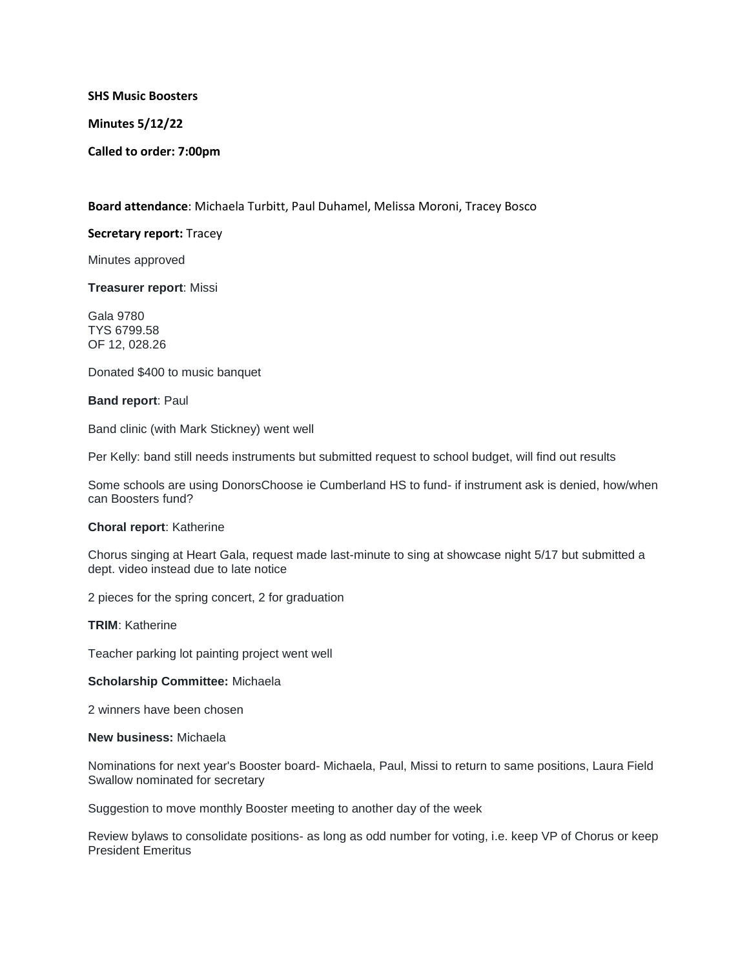**SHS Music Boosters**

**Minutes 5/12/22**

**Called to order: 7:00pm**

**Board attendance**: Michaela Turbitt, Paul Duhamel, Melissa Moroni, Tracey Bosco

## **Secretary report:** Tracey

Minutes approved

**Treasurer report**: Missi

Gala 9780 TYS 6799.58 OF 12, 028.26

Donated \$400 to music banquet

### **Band report**: Paul

Band clinic (with Mark Stickney) went well

Per Kelly: band still needs instruments but submitted request to school budget, will find out results

Some schools are using DonorsChoose ie Cumberland HS to fund- if instrument ask is denied, how/when can Boosters fund?

#### **Choral report**: Katherine

Chorus singing at Heart Gala, request made last-minute to sing at showcase night 5/17 but submitted a dept. video instead due to late notice

2 pieces for the spring concert, 2 for graduation

**TRIM**: Katherine

Teacher parking lot painting project went well

#### **Scholarship Committee:** Michaela

2 winners have been chosen

#### **New business:** Michaela

Nominations for next year's Booster board- Michaela, Paul, Missi to return to same positions, Laura Field Swallow nominated for secretary

Suggestion to move monthly Booster meeting to another day of the week

Review bylaws to consolidate positions- as long as odd number for voting, i.e. keep VP of Chorus or keep President Emeritus